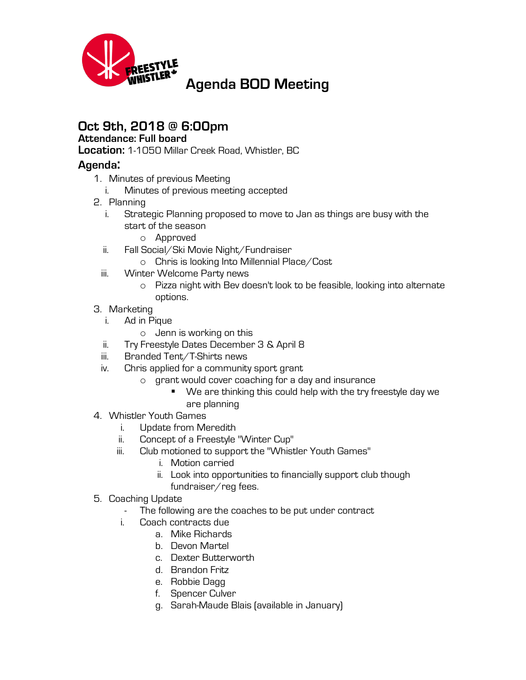

## **Oct 9th, 2018 @ 6:00pm**

## **Attendance: Full board**

**Location:** 1-1050 Millar Creek Road, Whistler, BC

## **Agenda:**

- 1. Minutes of previous Meeting
	- i. Minutes of previous meeting accepted
- 2. Planning
	- i. Strategic Planning proposed to move to Jan as things are busy with the start of the season
		- o Approved
	- ii. Fall Social/Ski Movie Night/Fundraiser
		- o Chris is looking Into Millennial Place/Cost
	- iii. Winter Welcome Party news
		- o Pizza night with Bev doesn't look to be feasible, looking into alternate options.
- 3. Marketing
	- i. Ad in Pique
		- o Jenn is working on this
	- ii. Try Freestyle Dates December 3 & April 8
	- iii. Branded Tent/T-Shirts news
	- iv. Chris applied for a community sport grant
		- o grant would cover coaching for a day and insurance
			- § We are thinking this could help with the try freestyle day we are planning
- 4. Whistler Youth Games
	- i. Update from Meredith
	- ii. Concept of a Freestyle "Winter Cup"
	- iii. Club motioned to support the "Whistler Youth Games"
		- i. Motion carried
		- ii. Look into opportunities to financially support club though fundraiser/reg fees.
- 5. Coaching Update
	- The following are the coaches to be put under contract
	- i. Coach contracts due
		- a. Mike Richards
		- b. Devon Martel
		- c. Dexter Butterworth
		- d. Brandon Fritz
		- e. Robbie Dagg
		- f. Spencer Culver
		- g. Sarah-Maude Blais (available in January)